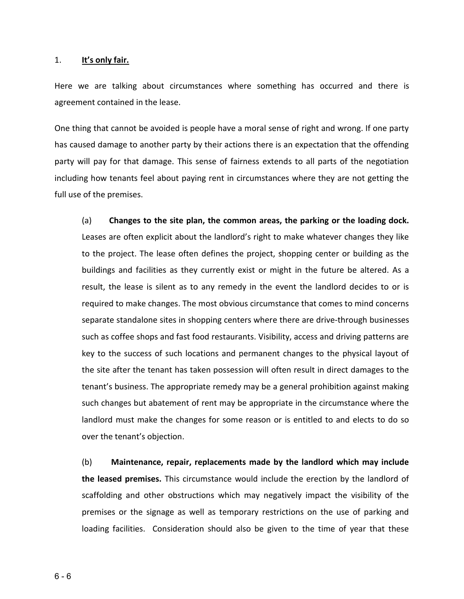#### 1. **It's only fair.**

Here we are talking about circumstances where something has occurred and there is agreement contained in the lease.

One thing that cannot be avoided is people have a moral sense of right and wrong. If one party has caused damage to another party by their actions there is an expectation that the offending party will pay for that damage. This sense of fairness extends to all parts of the negotiation including how tenants feel about paying rent in circumstances where they are not getting the full use of the premises.

(a) **Changes to the site plan, the common areas, the parking or the loading dock.** Leases are often explicit about the landlord's right to make whatever changes they like to the project. The lease often defines the project, shopping center or building as the buildings and facilities as they currently exist or might in the future be altered. As a result, the lease is silent as to any remedy in the event the landlord decides to or is required to make changes. The most obvious circumstance that comes to mind concerns separate standalone sites in shopping centers where there are drive-through businesses such as coffee shops and fast food restaurants. Visibility, access and driving patterns are key to the success of such locations and permanent changes to the physical layout of the site after the tenant has taken possession will often result in direct damages to the tenant's business. The appropriate remedy may be a general prohibition against making such changes but abatement of rent may be appropriate in the circumstance where the landlord must make the changes for some reason or is entitled to and elects to do so over the tenant's objection.

(b) **Maintenance, repair, replacements made by the landlord which may include the leased premises.** This circumstance would include the erection by the landlord of scaffolding and other obstructions which may negatively impact the visibility of the premises or the signage as well as temporary restrictions on the use of parking and loading facilities. Consideration should also be given to the time of year that these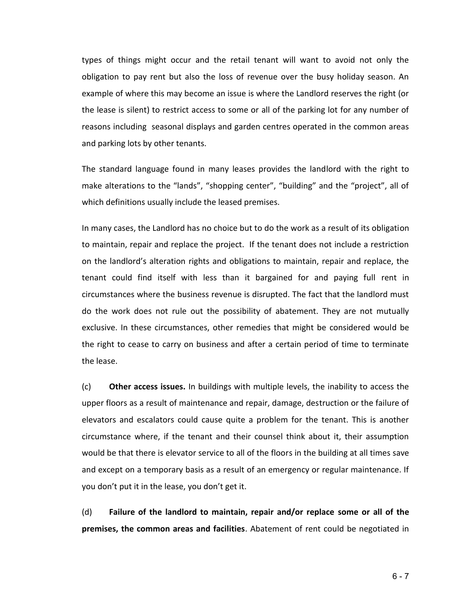types of things might occur and the retail tenant will want to avoid not only the obligation to pay rent but also the loss of revenue over the busy holiday season. An example of where this may become an issue is where the Landlord reserves the right (or the lease is silent) to restrict access to some or all of the parking lot for any number of reasons including seasonal displays and garden centres operated in the common areas and parking lots by other tenants.

The standard language found in many leases provides the landlord with the right to make alterations to the "lands", "shopping center", "building" and the "project", all of which definitions usually include the leased premises.

In many cases, the Landlord has no choice but to do the work as a result of its obligation to maintain, repair and replace the project. If the tenant does not include a restriction on the landlord's alteration rights and obligations to maintain, repair and replace, the tenant could find itself with less than it bargained for and paying full rent in circumstances where the business revenue is disrupted. The fact that the landlord must do the work does not rule out the possibility of abatement. They are not mutually exclusive. In these circumstances, other remedies that might be considered would be the right to cease to carry on business and after a certain period of time to terminate the lease.

(c) **Other access issues.** In buildings with multiple levels, the inability to access the upper floors as a result of maintenance and repair, damage, destruction or the failure of elevators and escalators could cause quite a problem for the tenant. This is another circumstance where, if the tenant and their counsel think about it, their assumption would be that there is elevator service to all of the floors in the building at all times save and except on a temporary basis as a result of an emergency or regular maintenance. If you don't put it in the lease, you don't get it.

(d) **Failure of the landlord to maintain, repair and/or replace some or all of the premises, the common areas and facilities**. Abatement of rent could be negotiated in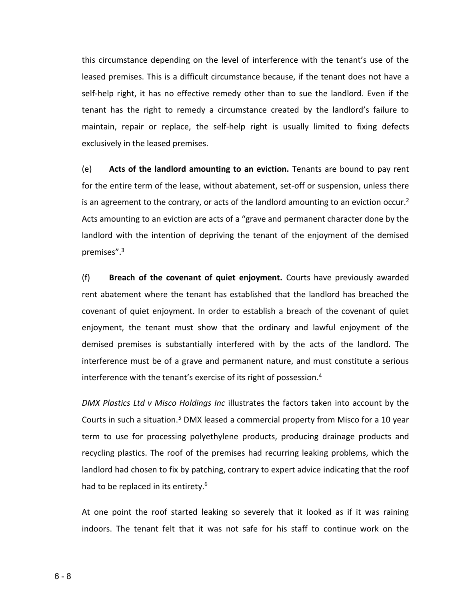this circumstance depending on the level of interference with the tenant's use of the leased premises. This is a difficult circumstance because, if the tenant does not have a self-help right, it has no effective remedy other than to sue the landlord. Even if the tenant has the right to remedy a circumstance created by the landlord's failure to maintain, repair or replace, the self-help right is usually limited to fixing defects exclusively in the leased premises.

(e) **Acts of the landlord amounting to an eviction.** Tenants are bound to pay rent for the entire term of the lease, without abatement, set-off or suspension, unless there is an agreement to the contrary, or acts of the landlord amounting to an eviction occur.<sup>2</sup> Acts amounting to an eviction are acts of a "grave and permanent character done by the landlord with the intention of depriving the tenant of the enjoyment of the demised premises".<sup>3</sup>

(f) **Breach of the covenant of quiet enjoyment.** Courts have previously awarded rent abatement where the tenant has established that the landlord has breached the covenant of quiet enjoyment. In order to establish a breach of the covenant of quiet enjoyment, the tenant must show that the ordinary and lawful enjoyment of the demised premises is substantially interfered with by the acts of the landlord. The interference must be of a grave and permanent nature, and must constitute a serious interference with the tenant's exercise of its right of possession.<sup>4</sup>

*DMX Plastics Ltd v Misco Holdings Inc* illustrates the factors taken into account by the Courts in such a situation.<sup>5</sup> DMX leased a commercial property from Misco for a 10 year term to use for processing polyethylene products, producing drainage products and recycling plastics. The roof of the premises had recurring leaking problems, which the landlord had chosen to fix by patching, contrary to expert advice indicating that the roof had to be replaced in its entirety.<sup>6</sup>

At one point the roof started leaking so severely that it looked as if it was raining indoors. The tenant felt that it was not safe for his staff to continue work on the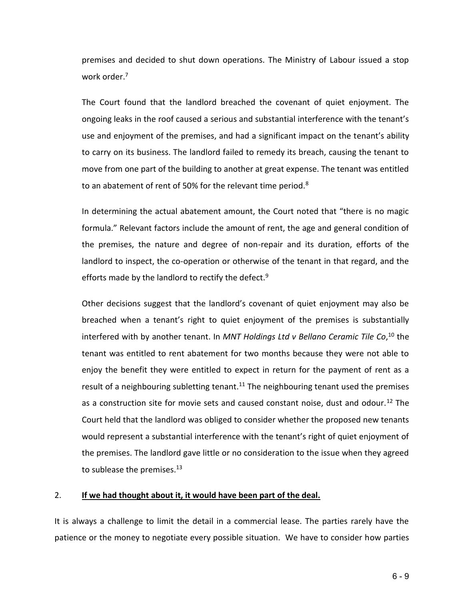premises and decided to shut down operations. The Ministry of Labour issued a stop work order.<sup>7</sup>

The Court found that the landlord breached the covenant of quiet enjoyment. The ongoing leaks in the roof caused a serious and substantial interference with the tenant's use and enjoyment of the premises, and had a significant impact on the tenant's ability to carry on its business. The landlord failed to remedy its breach, causing the tenant to move from one part of the building to another at great expense. The tenant was entitled to an abatement of rent of 50% for the relevant time period. $8<sup>8</sup>$ 

In determining the actual abatement amount, the Court noted that "there is no magic formula." Relevant factors include the amount of rent, the age and general condition of the premises, the nature and degree of non-repair and its duration, efforts of the landlord to inspect, the co-operation or otherwise of the tenant in that regard, and the efforts made by the landlord to rectify the defect.<sup>9</sup>

Other decisions suggest that the landlord's covenant of quiet enjoyment may also be breached when a tenant's right to quiet enjoyment of the premises is substantially interfered with by another tenant. In *MNT Holdings Ltd v Bellano Ceramic Tile Co*, <sup>10</sup> the tenant was entitled to rent abatement for two months because they were not able to enjoy the benefit they were entitled to expect in return for the payment of rent as a result of a neighbouring subletting tenant.<sup>11</sup> The neighbouring tenant used the premises as a construction site for movie sets and caused constant noise, dust and odour.<sup>12</sup> The Court held that the landlord was obliged to consider whether the proposed new tenants would represent a substantial interference with the tenant's right of quiet enjoyment of the premises. The landlord gave little or no consideration to the issue when they agreed to sublease the premises.<sup>13</sup>

# 2. **If we had thought about it, it would have been part of the deal.**

It is always a challenge to limit the detail in a commercial lease. The parties rarely have the patience or the money to negotiate every possible situation. We have to consider how parties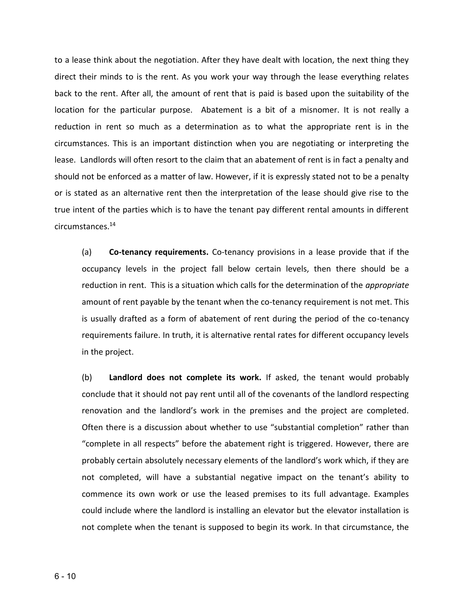to a lease think about the negotiation. After they have dealt with location, the next thing they direct their minds to is the rent. As you work your way through the lease everything relates back to the rent. After all, the amount of rent that is paid is based upon the suitability of the location for the particular purpose. Abatement is a bit of a misnomer. It is not really a reduction in rent so much as a determination as to what the appropriate rent is in the circumstances. This is an important distinction when you are negotiating or interpreting the lease. Landlords will often resort to the claim that an abatement of rent is in fact a penalty and should not be enforced as a matter of law. However, if it is expressly stated not to be a penalty or is stated as an alternative rent then the interpretation of the lease should give rise to the true intent of the parties which is to have the tenant pay different rental amounts in different circumstances.<sup>14</sup>

(a) **Co-tenancy requirements.** Co-tenancy provisions in a lease provide that if the occupancy levels in the project fall below certain levels, then there should be a reduction in rent. This is a situation which calls for the determination of the *appropriate* amount of rent payable by the tenant when the co-tenancy requirement is not met. This is usually drafted as a form of abatement of rent during the period of the co-tenancy requirements failure. In truth, it is alternative rental rates for different occupancy levels in the project.

(b) **Landlord does not complete its work.** If asked, the tenant would probably conclude that it should not pay rent until all of the covenants of the landlord respecting renovation and the landlord's work in the premises and the project are completed. Often there is a discussion about whether to use "substantial completion" rather than "complete in all respects" before the abatement right is triggered. However, there are probably certain absolutely necessary elements of the landlord's work which, if they are not completed, will have a substantial negative impact on the tenant's ability to commence its own work or use the leased premises to its full advantage. Examples could include where the landlord is installing an elevator but the elevator installation is not complete when the tenant is supposed to begin its work. In that circumstance, the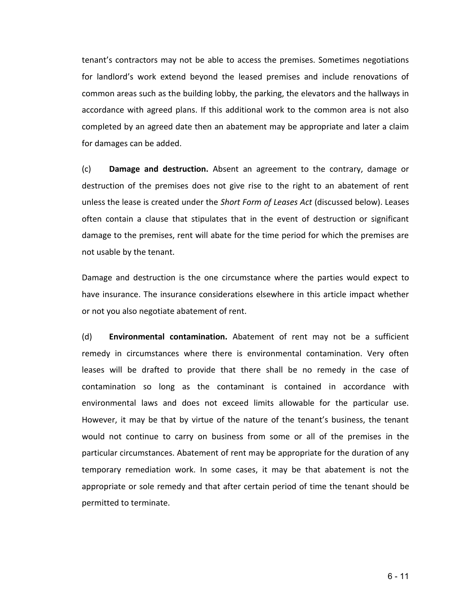tenant's contractors may not be able to access the premises. Sometimes negotiations for landlord's work extend beyond the leased premises and include renovations of common areas such as the building lobby, the parking, the elevators and the hallways in accordance with agreed plans. If this additional work to the common area is not also completed by an agreed date then an abatement may be appropriate and later a claim for damages can be added.

(c) **Damage and destruction.** Absent an agreement to the contrary, damage or destruction of the premises does not give rise to the right to an abatement of rent unless the lease is created under the *Short Form of Leases Act* (discussed below). Leases often contain a clause that stipulates that in the event of destruction or significant damage to the premises, rent will abate for the time period for which the premises are not usable by the tenant.

Damage and destruction is the one circumstance where the parties would expect to have insurance. The insurance considerations elsewhere in this article impact whether or not you also negotiate abatement of rent.

(d) **Environmental contamination.** Abatement of rent may not be a sufficient remedy in circumstances where there is environmental contamination. Very often leases will be drafted to provide that there shall be no remedy in the case of contamination so long as the contaminant is contained in accordance with environmental laws and does not exceed limits allowable for the particular use. However, it may be that by virtue of the nature of the tenant's business, the tenant would not continue to carry on business from some or all of the premises in the particular circumstances. Abatement of rent may be appropriate for the duration of any temporary remediation work. In some cases, it may be that abatement is not the appropriate or sole remedy and that after certain period of time the tenant should be permitted to terminate.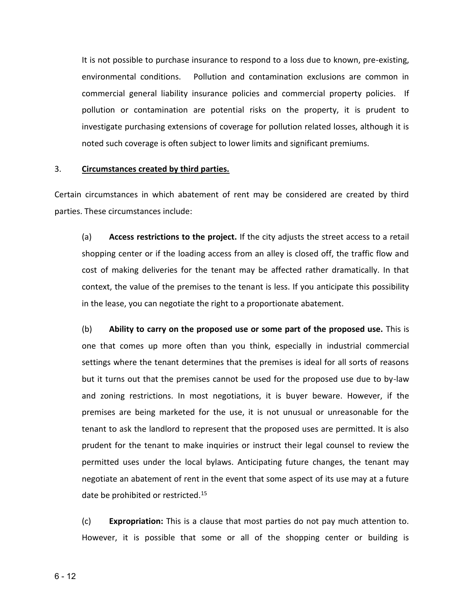It is not possible to purchase insurance to respond to a loss due to known, pre-existing, environmental conditions. Pollution and contamination exclusions are common in commercial general liability insurance policies and commercial property policies. If pollution or contamination are potential risks on the property, it is prudent to investigate purchasing extensions of coverage for pollution related losses, although it is noted such coverage is often subject to lower limits and significant premiums.

#### 3. **Circumstances created by third parties.**

Certain circumstances in which abatement of rent may be considered are created by third parties. These circumstances include:

(a) **Access restrictions to the project.** If the city adjusts the street access to a retail shopping center or if the loading access from an alley is closed off, the traffic flow and cost of making deliveries for the tenant may be affected rather dramatically. In that context, the value of the premises to the tenant is less. If you anticipate this possibility in the lease, you can negotiate the right to a proportionate abatement.

(b) **Ability to carry on the proposed use or some part of the proposed use.** This is one that comes up more often than you think, especially in industrial commercial settings where the tenant determines that the premises is ideal for all sorts of reasons but it turns out that the premises cannot be used for the proposed use due to by-law and zoning restrictions. In most negotiations, it is buyer beware. However, if the premises are being marketed for the use, it is not unusual or unreasonable for the tenant to ask the landlord to represent that the proposed uses are permitted. It is also prudent for the tenant to make inquiries or instruct their legal counsel to review the permitted uses under the local bylaws. Anticipating future changes, the tenant may negotiate an abatement of rent in the event that some aspect of its use may at a future date be prohibited or restricted.<sup>15</sup>

(c) **Expropriation:** This is a clause that most parties do not pay much attention to. However, it is possible that some or all of the shopping center or building is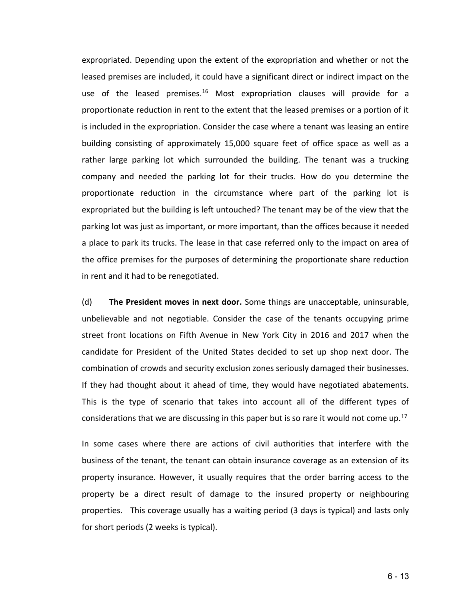expropriated. Depending upon the extent of the expropriation and whether or not the leased premises are included, it could have a significant direct or indirect impact on the use of the leased premises.<sup>16</sup> Most expropriation clauses will provide for a proportionate reduction in rent to the extent that the leased premises or a portion of it is included in the expropriation. Consider the case where a tenant was leasing an entire building consisting of approximately 15,000 square feet of office space as well as a rather large parking lot which surrounded the building. The tenant was a trucking company and needed the parking lot for their trucks. How do you determine the proportionate reduction in the circumstance where part of the parking lot is expropriated but the building is left untouched? The tenant may be of the view that the parking lot was just as important, or more important, than the offices because it needed a place to park its trucks. The lease in that case referred only to the impact on area of the office premises for the purposes of determining the proportionate share reduction in rent and it had to be renegotiated.

(d) **The President moves in next door.** Some things are unacceptable, uninsurable, unbelievable and not negotiable. Consider the case of the tenants occupying prime street front locations on Fifth Avenue in New York City in 2016 and 2017 when the candidate for President of the United States decided to set up shop next door. The combination of crowds and security exclusion zones seriously damaged their businesses. If they had thought about it ahead of time, they would have negotiated abatements. This is the type of scenario that takes into account all of the different types of considerations that we are discussing in this paper but is so rare it would not come up.<sup>17</sup>

In some cases where there are actions of civil authorities that interfere with the business of the tenant, the tenant can obtain insurance coverage as an extension of its property insurance. However, it usually requires that the order barring access to the property be a direct result of damage to the insured property or neighbouring properties. This coverage usually has a waiting period (3 days is typical) and lasts only for short periods (2 weeks is typical).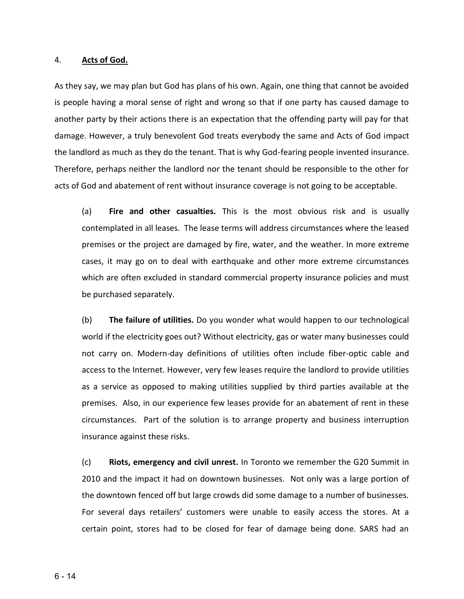#### 4. **Acts of God.**

As they say, we may plan but God has plans of his own. Again, one thing that cannot be avoided is people having a moral sense of right and wrong so that if one party has caused damage to another party by their actions there is an expectation that the offending party will pay for that damage. However, a truly benevolent God treats everybody the same and Acts of God impact the landlord as much as they do the tenant. That is why God-fearing people invented insurance. Therefore, perhaps neither the landlord nor the tenant should be responsible to the other for acts of God and abatement of rent without insurance coverage is not going to be acceptable.

(a) **Fire and other casualties.** This is the most obvious risk and is usually contemplated in all leases. The lease terms will address circumstances where the leased premises or the project are damaged by fire, water, and the weather. In more extreme cases, it may go on to deal with earthquake and other more extreme circumstances which are often excluded in standard commercial property insurance policies and must be purchased separately.

(b) **The failure of utilities.** Do you wonder what would happen to our technological world if the electricity goes out? Without electricity, gas or water many businesses could not carry on. Modern-day definitions of utilities often include fiber-optic cable and access to the Internet. However, very few leases require the landlord to provide utilities as a service as opposed to making utilities supplied by third parties available at the premises. Also, in our experience few leases provide for an abatement of rent in these circumstances. Part of the solution is to arrange property and business interruption insurance against these risks.

(c) **Riots, emergency and civil unrest.** In Toronto we remember the G20 Summit in 2010 and the impact it had on downtown businesses. Not only was a large portion of the downtown fenced off but large crowds did some damage to a number of businesses. For several days retailers' customers were unable to easily access the stores. At a certain point, stores had to be closed for fear of damage being done. SARS had an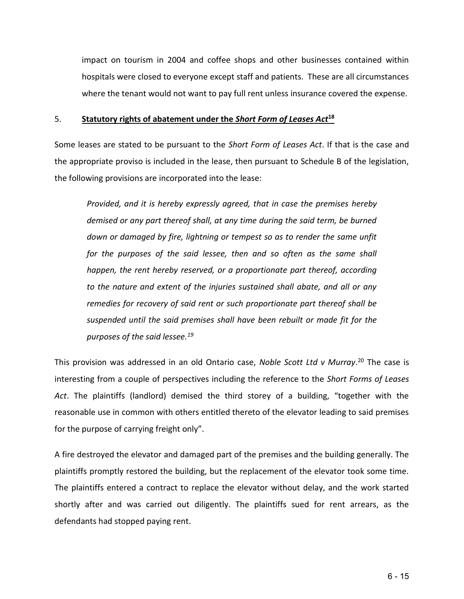impact on tourism in 2004 and coffee shops and other businesses contained within hospitals were closed to everyone except staff and patients. These are all circumstances where the tenant would not want to pay full rent unless insurance covered the expense.

# 5. **Statutory rights of abatement under the** *Short Form of Leases Act***<sup>18</sup>**

Some leases are stated to be pursuant to the *Short Form of Leases Act*. If that is the case and the appropriate proviso is included in the lease, then pursuant to Schedule B of the legislation, the following provisions are incorporated into the lease:

*Provided, and it is hereby expressly agreed, that in case the premises hereby demised or any part thereof shall, at any time during the said term, be burned down or damaged by fire, lightning or tempest so as to render the same unfit for the purposes of the said lessee, then and so often as the same shall happen, the rent hereby reserved, or a proportionate part thereof, according to the nature and extent of the injuries sustained shall abate, and all or any remedies for recovery of said rent or such proportionate part thereof shall be suspended until the said premises shall have been rebuilt or made fit for the purposes of the said lessee.<sup>19</sup>*

This provision was addressed in an old Ontario case, *Noble Scott Ltd v Murray*. <sup>20</sup> The case is interesting from a couple of perspectives including the reference to the *Short Forms of Leases Act*. The plaintiffs (landlord) demised the third storey of a building, "together with the reasonable use in common with others entitled thereto of the elevator leading to said premises for the purpose of carrying freight only".

A fire destroyed the elevator and damaged part of the premises and the building generally. The plaintiffs promptly restored the building, but the replacement of the elevator took some time. The plaintiffs entered a contract to replace the elevator without delay, and the work started shortly after and was carried out diligently. The plaintiffs sued for rent arrears, as the defendants had stopped paying rent.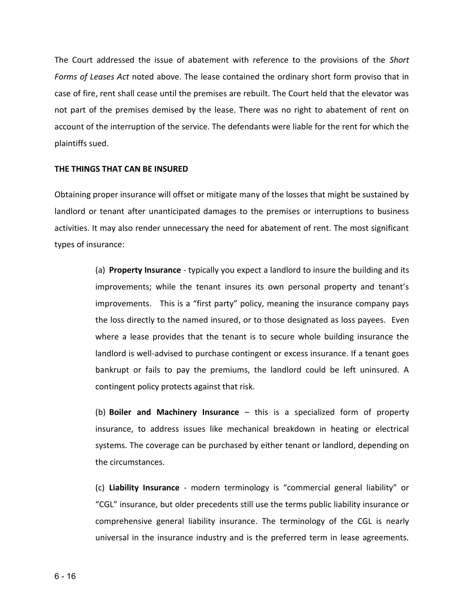The Court addressed the issue of abatement with reference to the provisions of the *Short Forms of Leases Act* noted above. The lease contained the ordinary short form proviso that in case of fire, rent shall cease until the premises are rebuilt. The Court held that the elevator was not part of the premises demised by the lease. There was no right to abatement of rent on account of the interruption of the service. The defendants were liable for the rent for which the plaintiffs sued.

# **THE THINGS THAT CAN BE INSURED**

Obtaining proper insurance will offset or mitigate many of the losses that might be sustained by landlord or tenant after unanticipated damages to the premises or interruptions to business activities. It may also render unnecessary the need for abatement of rent. The most significant types of insurance:

> (a) **Property Insurance** - typically you expect a landlord to insure the building and its improvements; while the tenant insures its own personal property and tenant's improvements. This is a "first party" policy, meaning the insurance company pays the loss directly to the named insured, or to those designated as loss payees. Even where a lease provides that the tenant is to secure whole building insurance the landlord is well-advised to purchase contingent or excess insurance. If a tenant goes bankrupt or fails to pay the premiums, the landlord could be left uninsured. A contingent policy protects against that risk.

> (b) **Boiler and Machinery Insurance** – this is a specialized form of property insurance, to address issues like mechanical breakdown in heating or electrical systems. The coverage can be purchased by either tenant or landlord, depending on the circumstances.

> (c) **Liability Insurance** - modern terminology is "commercial general liability" or "CGL" insurance, but older precedents still use the terms public liability insurance or comprehensive general liability insurance. The terminology of the CGL is nearly universal in the insurance industry and is the preferred term in lease agreements.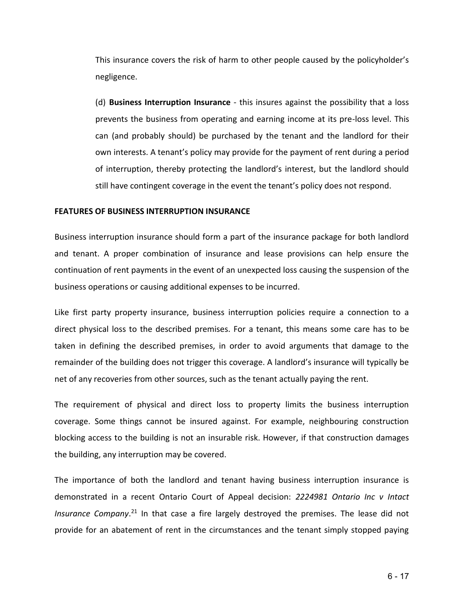This insurance covers the risk of harm to other people caused by the policyholder's negligence.

 (d) **Business Interruption Insurance** - this insures against the possibility that a loss prevents the business from operating and earning income at its pre-loss level. This can (and probably should) be purchased by the tenant and the landlord for their own interests. A tenant's policy may provide for the payment of rent during a period of interruption, thereby protecting the landlord's interest, but the landlord should still have contingent coverage in the event the tenant's policy does not respond.

### **FEATURES OF BUSINESS INTERRUPTION INSURANCE**

Business interruption insurance should form a part of the insurance package for both landlord and tenant. A proper combination of insurance and lease provisions can help ensure the continuation of rent payments in the event of an unexpected loss causing the suspension of the business operations or causing additional expenses to be incurred.

Like first party property insurance, business interruption policies require a connection to a direct physical loss to the described premises. For a tenant, this means some care has to be taken in defining the described premises, in order to avoid arguments that damage to the remainder of the building does not trigger this coverage. A landlord's insurance will typically be net of any recoveries from other sources, such as the tenant actually paying the rent.

The requirement of physical and direct loss to property limits the business interruption coverage. Some things cannot be insured against. For example, neighbouring construction blocking access to the building is not an insurable risk. However, if that construction damages the building, any interruption may be covered.

The importance of both the landlord and tenant having business interruption insurance is demonstrated in a recent Ontario Court of Appeal decision: *2224981 Ontario Inc v Intact*  Insurance Company.<sup>21</sup> In that case a fire largely destroyed the premises. The lease did not provide for an abatement of rent in the circumstances and the tenant simply stopped paying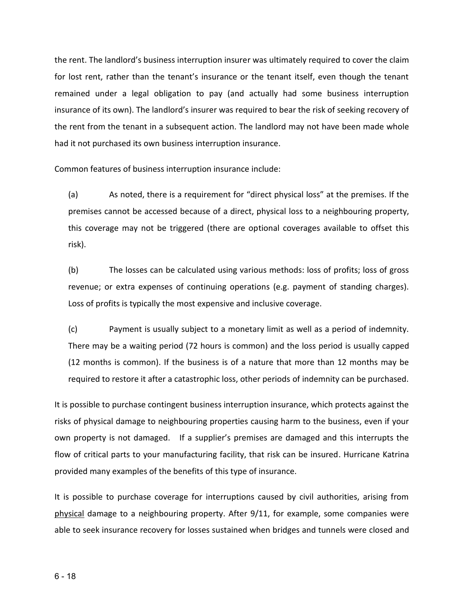the rent. The landlord's business interruption insurer was ultimately required to cover the claim for lost rent, rather than the tenant's insurance or the tenant itself, even though the tenant remained under a legal obligation to pay (and actually had some business interruption insurance of its own). The landlord's insurer was required to bear the risk of seeking recovery of the rent from the tenant in a subsequent action. The landlord may not have been made whole had it not purchased its own business interruption insurance.

Common features of business interruption insurance include:

 (a) As noted, there is a requirement for "direct physical loss" at the premises. If the premises cannot be accessed because of a direct, physical loss to a neighbouring property, this coverage may not be triggered (there are optional coverages available to offset this risk).

 (b) The losses can be calculated using various methods: loss of profits; loss of gross revenue; or extra expenses of continuing operations (e.g. payment of standing charges). Loss of profits is typically the most expensive and inclusive coverage.

(c) Payment is usually subject to a monetary limit as well as a period of indemnity. There may be a waiting period (72 hours is common) and the loss period is usually capped (12 months is common). If the business is of a nature that more than 12 months may be required to restore it after a catastrophic loss, other periods of indemnity can be purchased.

It is possible to purchase contingent business interruption insurance, which protects against the risks of physical damage to neighbouring properties causing harm to the business, even if your own property is not damaged. If a supplier's premises are damaged and this interrupts the flow of critical parts to your manufacturing facility, that risk can be insured. Hurricane Katrina provided many examples of the benefits of this type of insurance.

It is possible to purchase coverage for interruptions caused by civil authorities, arising from physical damage to a neighbouring property. After 9/11, for example, some companies were able to seek insurance recovery for losses sustained when bridges and tunnels were closed and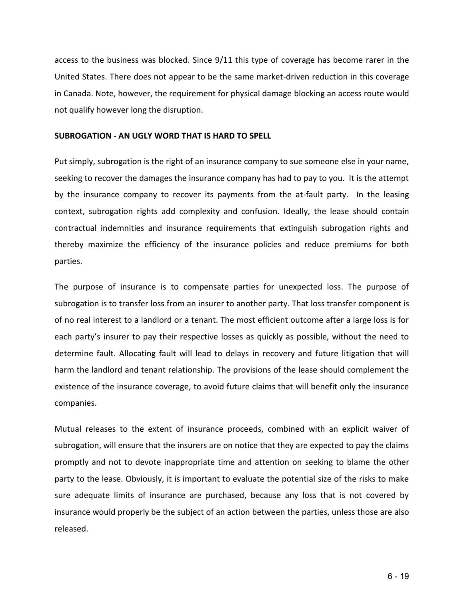access to the business was blocked. Since 9/11 this type of coverage has become rarer in the United States. There does not appear to be the same market-driven reduction in this coverage in Canada. Note, however, the requirement for physical damage blocking an access route would not qualify however long the disruption.

# **SUBROGATION - AN UGLY WORD THAT IS HARD TO SPELL**

Put simply, subrogation is the right of an insurance company to sue someone else in your name, seeking to recover the damages the insurance company has had to pay to you. It is the attempt by the insurance company to recover its payments from the at-fault party. In the leasing context, subrogation rights add complexity and confusion. Ideally, the lease should contain contractual indemnities and insurance requirements that extinguish subrogation rights and thereby maximize the efficiency of the insurance policies and reduce premiums for both parties.

The purpose of insurance is to compensate parties for unexpected loss. The purpose of subrogation is to transfer loss from an insurer to another party. That loss transfer component is of no real interest to a landlord or a tenant. The most efficient outcome after a large loss is for each party's insurer to pay their respective losses as quickly as possible, without the need to determine fault. Allocating fault will lead to delays in recovery and future litigation that will harm the landlord and tenant relationship. The provisions of the lease should complement the existence of the insurance coverage, to avoid future claims that will benefit only the insurance companies.

Mutual releases to the extent of insurance proceeds, combined with an explicit waiver of subrogation, will ensure that the insurers are on notice that they are expected to pay the claims promptly and not to devote inappropriate time and attention on seeking to blame the other party to the lease. Obviously, it is important to evaluate the potential size of the risks to make sure adequate limits of insurance are purchased, because any loss that is not covered by insurance would properly be the subject of an action between the parties, unless those are also released.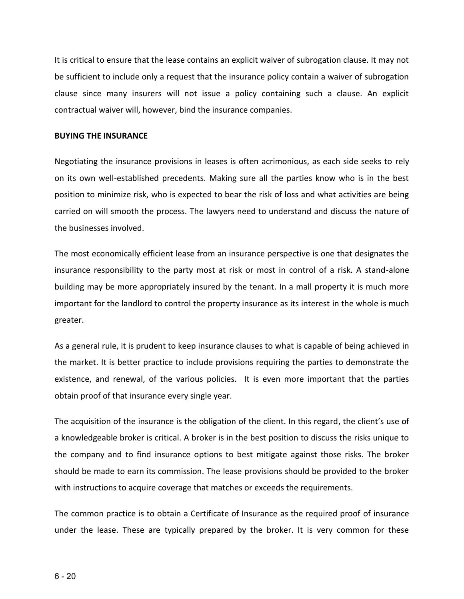It is critical to ensure that the lease contains an explicit waiver of subrogation clause. It may not be sufficient to include only a request that the insurance policy contain a waiver of subrogation clause since many insurers will not issue a policy containing such a clause. An explicit contractual waiver will, however, bind the insurance companies.

### **BUYING THE INSURANCE**

Negotiating the insurance provisions in leases is often acrimonious, as each side seeks to rely on its own well-established precedents. Making sure all the parties know who is in the best position to minimize risk, who is expected to bear the risk of loss and what activities are being carried on will smooth the process. The lawyers need to understand and discuss the nature of the businesses involved.

The most economically efficient lease from an insurance perspective is one that designates the insurance responsibility to the party most at risk or most in control of a risk. A stand-alone building may be more appropriately insured by the tenant. In a mall property it is much more important for the landlord to control the property insurance as its interest in the whole is much greater.

As a general rule, it is prudent to keep insurance clauses to what is capable of being achieved in the market. It is better practice to include provisions requiring the parties to demonstrate the existence, and renewal, of the various policies. It is even more important that the parties obtain proof of that insurance every single year.

The acquisition of the insurance is the obligation of the client. In this regard, the client's use of a knowledgeable broker is critical. A broker is in the best position to discuss the risks unique to the company and to find insurance options to best mitigate against those risks. The broker should be made to earn its commission. The lease provisions should be provided to the broker with instructions to acquire coverage that matches or exceeds the requirements.

The common practice is to obtain a Certificate of Insurance as the required proof of insurance under the lease. These are typically prepared by the broker. It is very common for these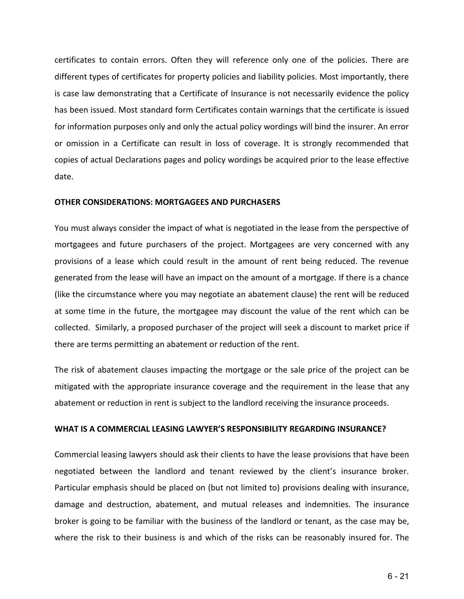certificates to contain errors. Often they will reference only one of the policies. There are different types of certificates for property policies and liability policies. Most importantly, there is case law demonstrating that a Certificate of Insurance is not necessarily evidence the policy has been issued. Most standard form Certificates contain warnings that the certificate is issued for information purposes only and only the actual policy wordings will bind the insurer. An error or omission in a Certificate can result in loss of coverage. It is strongly recommended that copies of actual Declarations pages and policy wordings be acquired prior to the lease effective date.

# **OTHER CONSIDERATIONS: MORTGAGEES AND PURCHASERS**

You must always consider the impact of what is negotiated in the lease from the perspective of mortgagees and future purchasers of the project. Mortgagees are very concerned with any provisions of a lease which could result in the amount of rent being reduced. The revenue generated from the lease will have an impact on the amount of a mortgage. If there is a chance (like the circumstance where you may negotiate an abatement clause) the rent will be reduced at some time in the future, the mortgagee may discount the value of the rent which can be collected. Similarly, a proposed purchaser of the project will seek a discount to market price if there are terms permitting an abatement or reduction of the rent.

The risk of abatement clauses impacting the mortgage or the sale price of the project can be mitigated with the appropriate insurance coverage and the requirement in the lease that any abatement or reduction in rent is subject to the landlord receiving the insurance proceeds.

# **WHAT IS A COMMERCIAL LEASING LAWYER'S RESPONSIBILITY REGARDING INSURANCE?**

Commercial leasing lawyers should ask their clients to have the lease provisions that have been negotiated between the landlord and tenant reviewed by the client's insurance broker. Particular emphasis should be placed on (but not limited to) provisions dealing with insurance, damage and destruction, abatement, and mutual releases and indemnities. The insurance broker is going to be familiar with the business of the landlord or tenant, as the case may be, where the risk to their business is and which of the risks can be reasonably insured for. The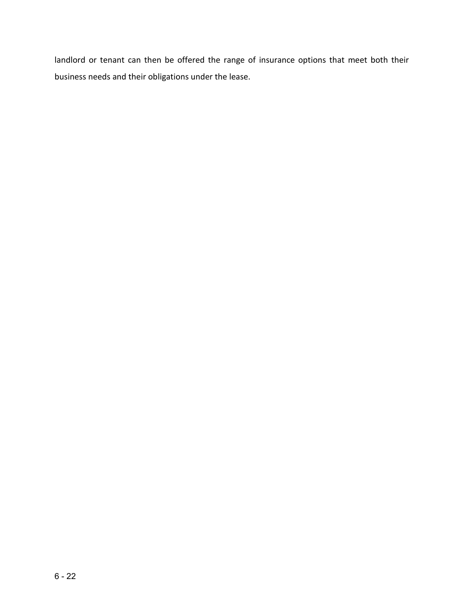landlord or tenant can then be offered the range of insurance options that meet both their business needs and their obligations under the lease.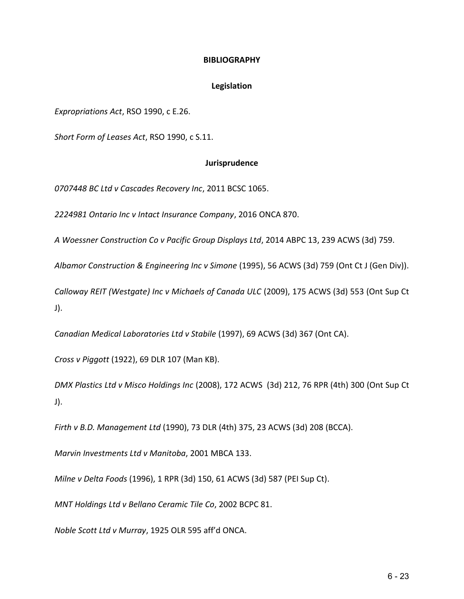# **BIBLIOGRAPHY**

### **Legislation**

*Expropriations Act*, RSO 1990, c E.26.

*Short Form of Leases Act*, RSO 1990, c S.11.

### **Jurisprudence**

*0707448 BC Ltd v Cascades Recovery Inc*, 2011 BCSC 1065.

*2224981 Ontario Inc v Intact Insurance Company*, 2016 ONCA 870.

*A Woessner Construction Co v Pacific Group Displays Ltd*, 2014 ABPC 13, 239 ACWS (3d) 759.

*Albamor Construction & Engineering Inc v Simone* (1995), 56 ACWS (3d) 759 (Ont Ct J (Gen Div)).

*Calloway REIT (Westgate) Inc v Michaels of Canada ULC* (2009), 175 ACWS (3d) 553 (Ont Sup Ct J).

*Canadian Medical Laboratories Ltd v Stabile* (1997), 69 ACWS (3d) 367 (Ont CA).

*Cross v Piggott* (1922), 69 DLR 107 (Man KB).

*DMX Plastics Ltd v Misco Holdings Inc* (2008), 172 ACWS (3d) 212, 76 RPR (4th) 300 (Ont Sup Ct J).

*Firth v B.D. Management Ltd* (1990), 73 DLR (4th) 375, 23 ACWS (3d) 208 (BCCA).

*Marvin Investments Ltd v Manitoba*, 2001 MBCA 133.

*Milne v Delta Foods* (1996), 1 RPR (3d) 150, 61 ACWS (3d) 587 (PEI Sup Ct).

*MNT Holdings Ltd v Bellano Ceramic Tile Co*, 2002 BCPC 81.

*Noble Scott Ltd v Murray*, 1925 OLR 595 aff'd ONCA.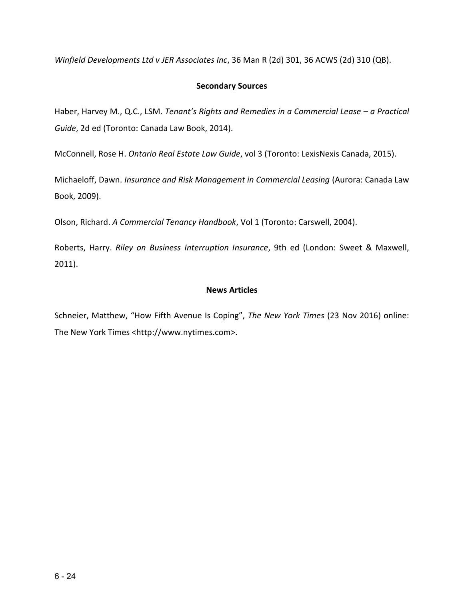*Winfield Developments Ltd v JER Associates Inc*, 36 Man R (2d) 301, 36 ACWS (2d) 310 (QB).

# **Secondary Sources**

Haber, Harvey M., Q.C., LSM. *Tenant's Rights and Remedies in a Commercial Lease – a Practical Guide*, 2d ed (Toronto: Canada Law Book, 2014).

McConnell, Rose H. *Ontario Real Estate Law Guide*, vol 3 (Toronto: LexisNexis Canada, 2015).

Michaeloff, Dawn. *Insurance and Risk Management in Commercial Leasing* (Aurora: Canada Law Book, 2009).

Olson, Richard. *A Commercial Tenancy Handbook*, Vol 1 (Toronto: Carswell, 2004).

Roberts, Harry. *Riley on Business Interruption Insurance*, 9th ed (London: Sweet & Maxwell, 2011).

# **News Articles**

Schneier, Matthew, "How Fifth Avenue Is Coping", *The New York Times* (23 Nov 2016) online: The New York Times <http://www.nytimes.com>.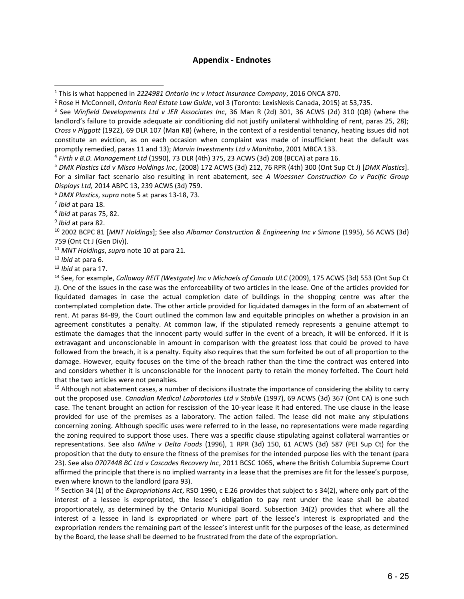### **Appendix - Endnotes**

<sup>6</sup> *DMX Plastics*, *supra* note 5 at paras 13-18, 73.

l

8 *Ibid* at paras 75, 82.

<sup>12</sup> *Ibid* at para 6.

<sup>13</sup> *Ibid* at para 17.

<sup>14</sup> See, for example, *Calloway REIT (Westgate) Inc v Michaels of Canada ULC* (2009), 175 ACWS (3d) 553 (Ont Sup Ct J). One of the issues in the case was the enforceability of two articles in the lease. One of the articles provided for liquidated damages in case the actual completion date of buildings in the shopping centre was after the contemplated completion date. The other article provided for liquidated damages in the form of an abatement of rent. At paras 84-89, the Court outlined the common law and equitable principles on whether a provision in an agreement constitutes a penalty. At common law, if the stipulated remedy represents a genuine attempt to estimate the damages that the innocent party would suffer in the event of a breach, it will be enforced. If it is extravagant and unconscionable in amount in comparison with the greatest loss that could be proved to have followed from the breach, it is a penalty. Equity also requires that the sum forfeited be out of all proportion to the damage. However, equity focuses on the time of the breach rather than the time the contract was entered into and considers whether it is unconscionable for the innocent party to retain the money forfeited. The Court held that the two articles were not penalties.

<sup>15</sup> Although not abatement cases, a number of decisions illustrate the importance of considering the ability to carry out the proposed use. *Canadian Medical Laboratories Ltd v Stabile* (1997), 69 ACWS (3d) 367 (Ont CA) is one such case. The tenant brought an action for rescission of the 10-year lease it had entered. The use clause in the lease provided for use of the premises as a laboratory. The action failed. The lease did not make any stipulations concerning zoning. Although specific uses were referred to in the lease, no representations were made regarding the zoning required to support those uses. There was a specific clause stipulating against collateral warranties or representations. See also *Milne v Delta Foods* (1996), 1 RPR (3d) 150, 61 ACWS (3d) 587 (PEI Sup Ct) for the proposition that the duty to ensure the fitness of the premises for the intended purpose lies with the tenant (para 23). See also *0707448 BC Ltd v Cascades Recovery Inc*, 2011 BCSC 1065, where the British Columbia Supreme Court affirmed the principle that there is no implied warranty in a lease that the premises are fit for the lessee's purpose, even where known to the landlord (para 93).

<sup>16</sup> Section 34 (1) of the *Expropriations Act*, RSO 1990, c E.26 provides that subject to s 34(2), where only part of the interest of a lessee is expropriated, the lessee's obligation to pay rent under the lease shall be abated proportionately, as determined by the Ontario Municipal Board. Subsection 34(2) provides that where all the interest of a lessee in land is expropriated or where part of the lessee's interest is expropriated and the expropriation renders the remaining part of the lessee's interest unfit for the purposes of the lease, as determined by the Board, the lease shall be deemed to be frustrated from the date of the expropriation.

<sup>1</sup> This is what happened in *2224981 Ontario Inc v Intact Insurance Company*, 2016 ONCA 870.

<sup>2</sup> Rose H McConnell, *Ontario Real Estate Law Guide*, vol 3 (Toronto: LexisNexis Canada, 2015) at 53,735.

<sup>3</sup> See *Winfield Developments Ltd v JER Associates Inc*, 36 Man R (2d) 301, 36 ACWS (2d) 310 (QB) (where the landlord's failure to provide adequate air conditioning did not justify unilateral withholding of rent, paras 25, 28); *Cross v Piggott* (1922), 69 DLR 107 (Man KB) (where, in the context of a residential tenancy, heating issues did not constitute an eviction, as on each occasion when complaint was made of insufficient heat the default was promptly remedied, paras 11 and 13); *Marvin Investments Ltd v Manitoba*, 2001 MBCA 133.

<sup>4</sup> *Firth v B.D. Management Ltd* (1990), 73 DLR (4th) 375, 23 ACWS (3d) 208 (BCCA) at para 16.

<sup>5</sup> *DMX Plastics Ltd v Misco Holdings Inc*, (2008) 172 ACWS (3d) 212, 76 RPR (4th) 300 (Ont Sup Ct J) [*DMX Plastics*]. For a similar fact scenario also resulting in rent abatement, see *A Woessner Construction Co v Pacific Group Displays Ltd,* 2014 ABPC 13, 239 ACWS (3d) 759.

<sup>7</sup> *Ibid* at para 18.

<sup>9</sup> *Ibid* at para 82.

<sup>10</sup> 2002 BCPC 81 [*MNT Holdings*]; See also *Albamor Construction & Engineering Inc v Simone* (1995), 56 ACWS (3d) 759 (Ont Ct J (Gen Div)).

<sup>11</sup> *MNT Holdings*, *supra* note 10 at para 21.